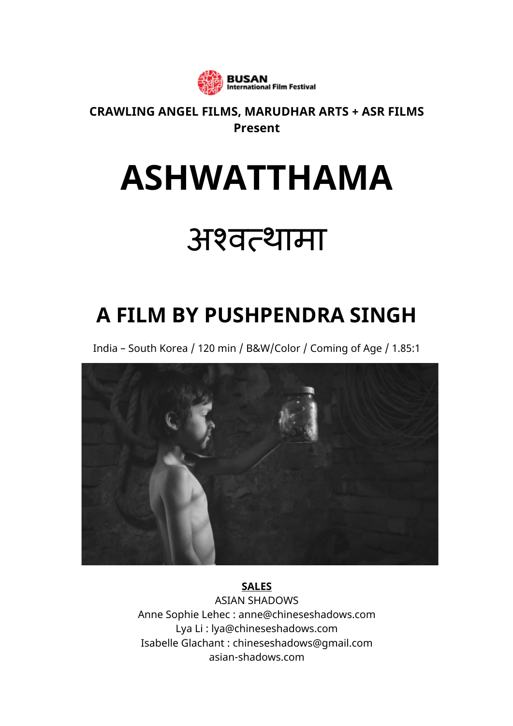

#### **CRAWLING ANGEL FILMS, MARUDHAR ARTS + ASR FILMS Present**

# **ASHWATTHAMA**

## अश्वत्थामा

### **A FILM BY PUSHPENDRA SINGH**

India – South Korea / 120 min / B&W/Color / Coming of Age / 1.85:1



**SALES** ASIAN SHADOWS Anne Sophie Lehec : anne@chineseshadows.com Lya Li : lya@chineseshadows.com Isabelle Glachant : chineseshadows@gmail.com asian-shadows.com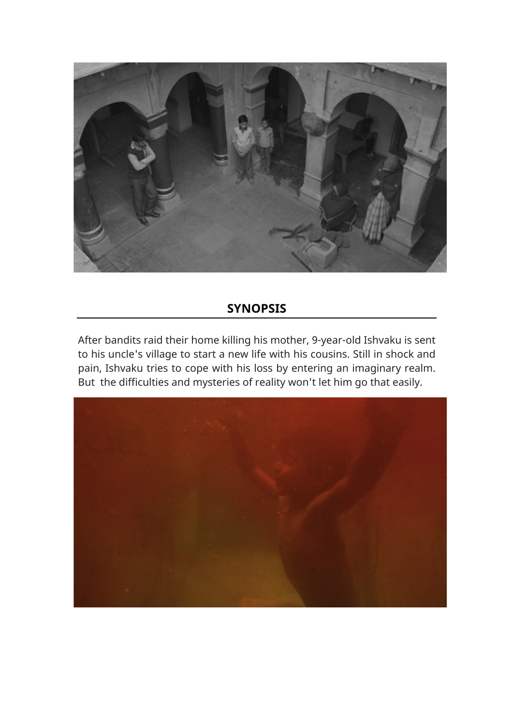

#### **SYNOPSIS**

After bandits raid their home killing his mother, 9-year-old Ishvaku is sent to his uncle's village to start a new life with his cousins. Still in shock and pain, Ishvaku tries to cope with his loss by entering an imaginary realm. But the difficulties and mysteries of reality won't let him go that easily.

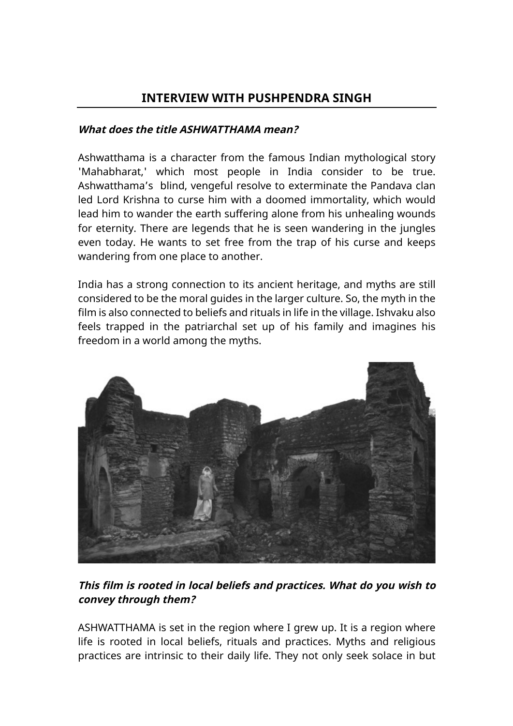#### **INTERVIEW WITH PUSHPENDRA SINGH**

#### **What does the title ASHWATTHAMA mean?**

Ashwatthama is a character from the famous Indian mythological story 'Mahabharat,' which most people in India consider to be true. Ashwatthama's blind, vengeful resolve to exterminate the Pandava clan led Lord Krishna to curse him with a doomed immortality, which would lead him to wander the earth suffering alone from his unhealing wounds for eternity. There are legends that he is seen wandering in the jungles even today. He wants to set free from the trap of his curse and keeps wandering from one place to another.

India has a strong connection to its ancient heritage, and myths are still considered to be the moral guides in the larger culture. So, the myth in the film is also connected to beliefs and rituals in life in the village. Ishvaku also feels trapped in the patriarchal set up of his family and imagines his freedom in a world among the myths.



#### **This film is rooted in local beliefs and practices. What do you wish to convey through them?**

ASHWATTHAMA is set in the region where I grew up. It is a region where life is rooted in local beliefs, rituals and practices. Myths and religious practices are intrinsic to their daily life. They not only seek solace in but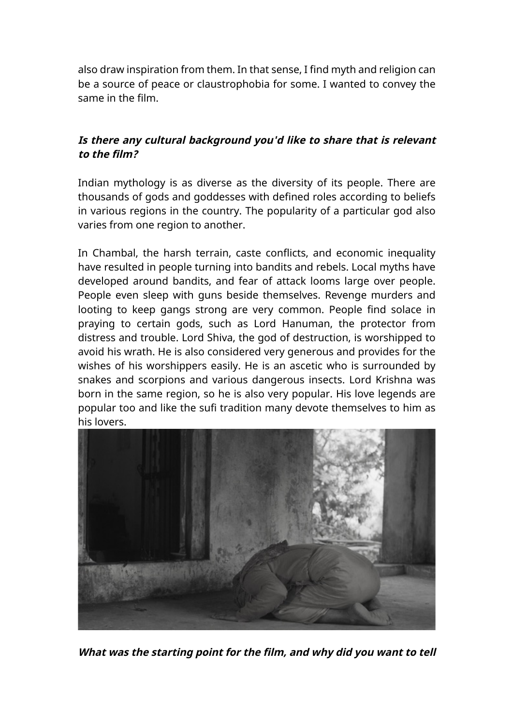also draw inspiration from them. In that sense, I find myth and religion can be a source of peace or claustrophobia for some. I wanted to convey the same in the film.

#### **Is there any cultural background you'd like to share that is relevant to the film?**

Indian mythology is as diverse as the diversity of its people. There are thousands of gods and goddesses with defined roles according to beliefs in various regions in the country. The popularity of a particular god also varies from one region to another.

In Chambal, the harsh terrain, caste conflicts, and economic inequality have resulted in people turning into bandits and rebels. Local myths have developed around bandits, and fear of attack looms large over people. People even sleep with guns beside themselves. Revenge murders and looting to keep gangs strong are very common. People find solace in praying to certain gods, such as Lord Hanuman, the protector from distress and trouble. Lord Shiva, the god of destruction, is worshipped to avoid his wrath. He is also considered very generous and provides for the wishes of his worshippers easily. He is an ascetic who is surrounded by snakes and scorpions and various dangerous insects. Lord Krishna was born in the same region, so he is also very popular. His love legends are popular too and like the sufi tradition many devote themselves to him as his lovers.



**What was the starting point for the film, and why did you want to tell**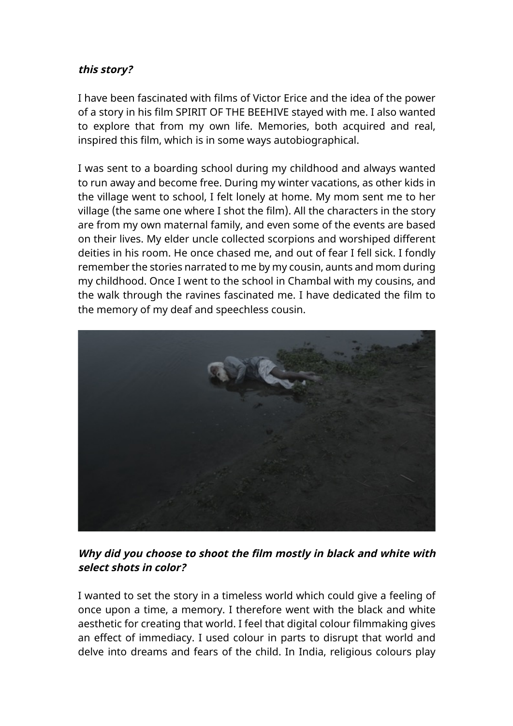#### **this story?**

I have been fascinated with films of Victor Erice and the idea of the power of a story in his film SPIRIT OF THE BEEHIVE stayed with me. I also wanted to explore that from my own life. Memories, both acquired and real, inspired this film, which is in some ways autobiographical.

I was sent to a boarding school during my childhood and always wanted to run away and become free. During my winter vacations, as other kids in the village went to school, I felt lonely at home. My mom sent me to her village (the same one where I shot the film). All the characters in the story are from my own maternal family, and even some of the events are based on their lives. My elder uncle collected scorpions and worshiped different deities in his room. He once chased me, and out of fear I fell sick. I fondly remember the stories narrated to me by my cousin, aunts and mom during my childhood. Once I went to the school in Chambal with my cousins, and the walk through the ravines fascinated me. I have dedicated the film to the memory of my deaf and speechless cousin.



#### **Why did you choose to shoot the film mostly in black and white with select shots in color?**

I wanted to set the story in a timeless world which could give a feeling of once upon a time, a memory. I therefore went with the black and white aesthetic for creating that world. I feel that digital colour filmmaking gives an effect of immediacy. I used colour in parts to disrupt that world and delve into dreams and fears of the child. In India, religious colours play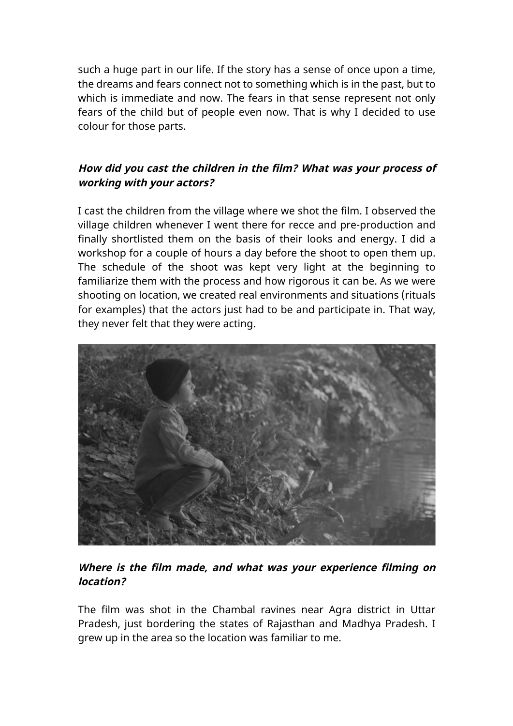such a huge part in our life. If the story has a sense of once upon a time, the dreams and fears connect not to something which is in the past, but to which is immediate and now. The fears in that sense represent not only fears of the child but of people even now. That is why I decided to use colour for those parts.

#### **How did you cast the children in the film? What was your process of working with your actors?**

I cast the children from the village where we shot the film. I observed the village children whenever I went there for recce and pre-production and finally shortlisted them on the basis of their looks and energy. I did a workshop for a couple of hours a day before the shoot to open them up. The schedule of the shoot was kept very light at the beginning to familiarize them with the process and how rigorous it can be. As we were shooting on location, we created real environments and situations (rituals for examples) that the actors just had to be and participate in. That way, they never felt that they were acting.



**Where is the film made, and what was your experience filming on location?**

The film was shot in the Chambal ravines near Agra district in Uttar Pradesh, just bordering the states of Rajasthan and Madhya Pradesh. I grew up in the area so the location was familiar to me.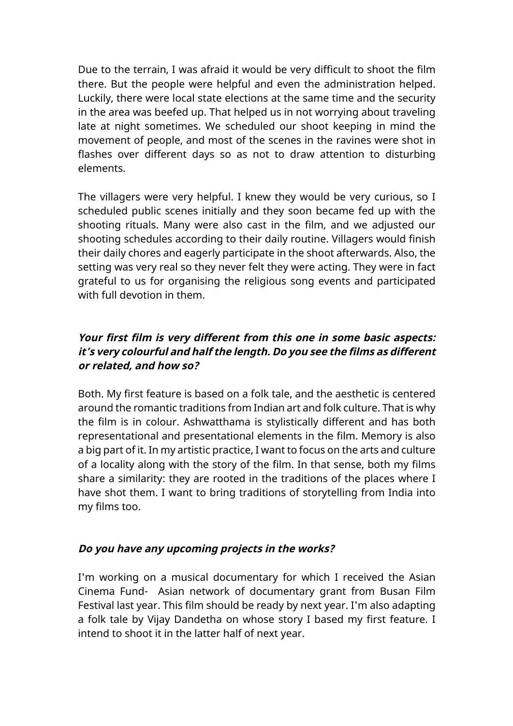Due to the terrain, I was afraid it would be very difficult to shoot the film there. But the people were helpful and even the administration helped. Luckily, there were local state elections at the same time and the security in the area was beefed up. That helped us in not worrying about traveling late at night sometimes. We scheduled our shoot keeping in mind the movement of people, and most of the scenes in the ravines were shot in flashes over different days so as not to draw attention to disturbing elements.

The villagers were very helpful. I knew they would be very curious, so I scheduled public scenes initially and they soon became fed up with the shooting rituals. Many were also cast in the film, and we adjusted our shooting schedules according to their daily routine. Villagers would finish their daily chores and eagerly participate in the shoot afterwards. Also, the setting was very real so they never felt they were acting. They were in fact grateful to us for organising the religious song events and participated with full devotion in them.

#### **Your first film is very different from this one in some basic aspects: it's very colourful and half the length. Do you see the films as different or related, and how so?**

Both. My first feature is based on a folk tale, and the aesthetic is centered around the romantic traditions from Indian art and folk culture. That is why the film is in colour. Ashwatthama is stylistically different and has both representational and presentational elements in the film. Memory is also a big part of it. In my artistic practice, I want to focus on the arts and culture of a locality along with the story of the film. In that sense, both my films share a similarity: they are rooted in the traditions of the places where I have shot them. I want to bring traditions of storytelling from India into my films too.

#### **Do you have any upcoming projects in the works?**

I'm working on a musical documentary for which I received the Asian Cinema Fund- Asian network of documentary grant from Busan Film Festival last year. This film should be ready by next year. I'm also adapting a folk tale by Vijay Dandetha on whose story I based my first feature. I intend to shoot it in the latter half of next year.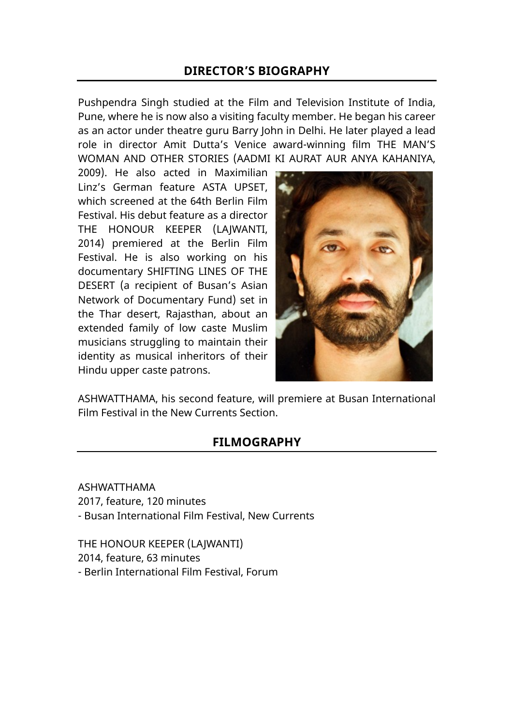#### **DIRECTOR'S BIOGRAPHY**

Pushpendra Singh studied at the Film and Television Institute of India, Pune, where he is now also a visiting faculty member. He began his career as an actor under theatre guru Barry John in Delhi. He later played a lead role in director Amit Dutta's Venice award-winning film THE MAN'S WOMAN AND OTHER STORIES (AADMI KI AURAT AUR ANYA KAHANIYA,

2009). He also acted in Maximilian Linz's German feature ASTA UPSET, which screened at the 64th Berlin Film Festival. His debut feature as a director THE HONOUR KEEPER (LAJWANTI, 2014) premiered at the Berlin Film Festival. He is also working on his documentary SHIFTING LINES OF THE DESERT (a recipient of Busan's Asian Network of Documentary Fund) set in the Thar desert, Rajasthan, about an extended family of low caste Muslim musicians struggling to maintain their identity as musical inheritors of their Hindu upper caste patrons.



ASHWATTHAMA, his second feature, will premiere at Busan International Film Festival in the New Currents Section.

#### **FILMOGRAPHY**

ASHWATTHAMA 2017, feature, 120 minutes - Busan International Film Festival, New Currents

THE HONOUR KEEPER (LAJWANTI) 2014, feature, 63 minutes - Berlin International Film Festival, Forum